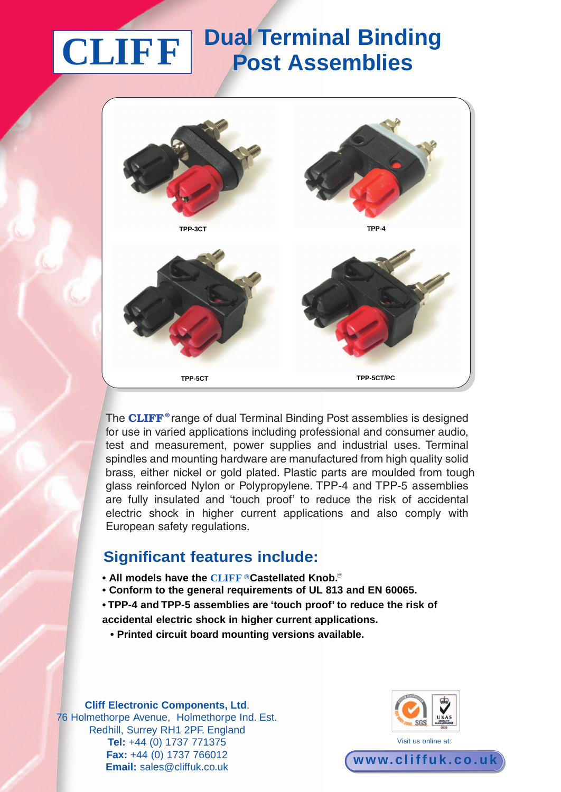# **Dual Terminal Binding CLIFF Post Assemblies**



The **CLIFF ®** range of dual Terminal Binding Post assemblies is designed for use in varied applications including professional and consumer audio, test and measurement, power supplies and industrial uses. Terminal spindles and mounting hardware are manufactured from high quality solid brass, either nickel or gold plated. Plastic parts are moulded from tough glass reinforced Nylon or Polypropylene. TPP-4 and TPP-5 assemblies are fully insulated and 'touch proof' to reduce the risk of accidental electric shock in higher current applications and also comply with European safety regulations.

#### **Significant features include:**

- $\bullet$  All models have the  $\textbf{CLIFF}$  ®Castellated Knob. $^\circ$
- **• Conform to the general requirements of UL 813 and EN 60065.**
- **• TPP-4 and TPP-5 assemblies are 'touch proof' to reduce the risk of**
- **accidental electric shock in higher current applications.**
	- **• Printed circuit board mounting versions available.**

**Cliff Electronic Components, Ltd**. 76 Holmethorpe Avenue, Holmethorpe Ind. Est. Redhill, Surrey RH1 2PF. England **Tel:** +44 (0) 1737 771375 **Fax:** +44 (0) 1737 766012 **Email:** sales@cliffuk.co.uk



**www. cl i f f u k . c o . u k**